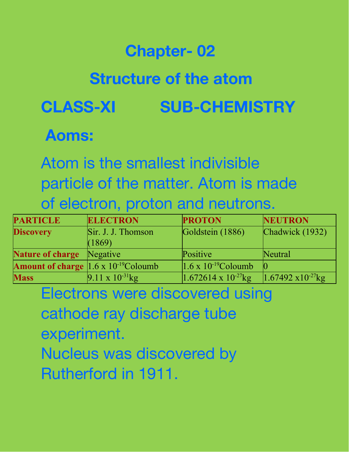#### **Chapter- 02**

#### **Structure of the atom**

**CLASS-XI SUB-CHEMISTRY**

#### **Aoms:**

Atom is the smallest indivisible particle of the matter. Atom is made of electron, proton and neutrons.

| <b>PARTICLE</b>                                  | <b>ELECTRON</b>           | <b>PROTON</b>                 | <b>NEUTRON</b>               |
|--------------------------------------------------|---------------------------|-------------------------------|------------------------------|
| <b>Discovery</b>                                 | Sir. J. J. Thomson        | Goldstein (1886)              | Chadwick (1932)              |
|                                                  | (1869)                    |                               |                              |
| <b>Nature of charge</b>                          | Negative                  | Positive                      | Neutral                      |
| Amount of charge 1.6 x 10 <sup>-19</sup> Coloumb |                           | $1.6 \times 10^{-19}$ Coloumb |                              |
| <b>Mass</b>                                      | $9.11 \times 10^{-31}$ kg | $1.672614 \times 10^{-27}$ kg | $1.67492 \times 10^{-27}$ kg |

Electrons were discovered using

cathode ray discharge tube

- experiment.
- Nucleus was discovered by
- Rutherford in 1911.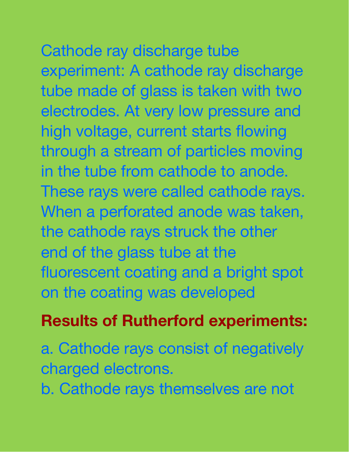Cathode ray discharge tube experiment: A cathode ray discharge tube made of glass is taken with two electrodes. At very low pressure and high voltage, current starts flowing through a stream of particles moving in the tube from cathode to anode. These rays were called cathode rays. When a perforated anode was taken, the cathode rays struck the other end of the glass tube at the fluorescent coating and a bright spot on the coating was developed

## **Results of Rutherford experiments:**

a. Cathode rays consist of negatively charged electrons.

b. Cathode rays themselves are not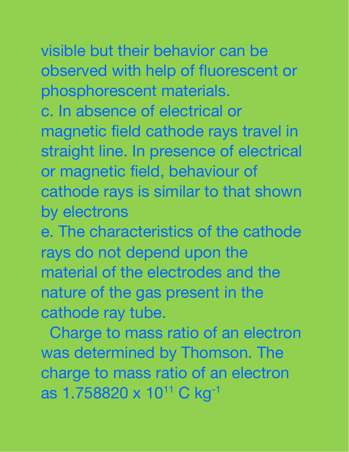visible but their behavior can be observed with help of fluorescent or phosphorescent materials.

c. In absence of electrical or magnetic field cathode rays travel in straight line. In presence of electrical or magnetic field, behaviour of cathode rays is similar to that shown by electrons

e. The characteristics of the cathode rays do not depend upon the material of the electrodes and the nature of the gas present in the cathode ray tube.

Charge to mass ratio of an electron was determined by Thomson. The charge to mass ratio of an electron as 1.758820 x 10<sup>11</sup> C kg<sup>-1</sup>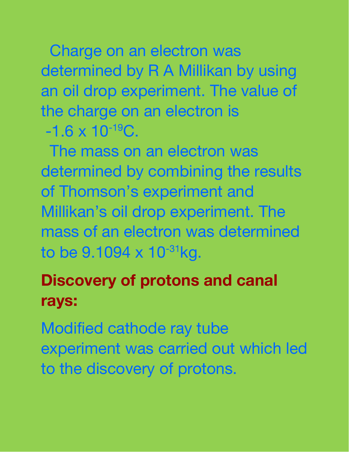Charge on an electron was determined by R A Millikan by using an oil drop experiment. The value of the charge on an electron is  $-1.6 \times 10^{-19}$ C.

The mass on an electron was determined by combining the results of Thomson's experiment and Millikan's oil drop experiment. The mass of an electron was determined to be 9.1094 x 10<sup>-31</sup>kg.

#### **Discovery of protons and canal rays:**

Modified cathode ray tube experiment was carried out which led to the discovery of protons.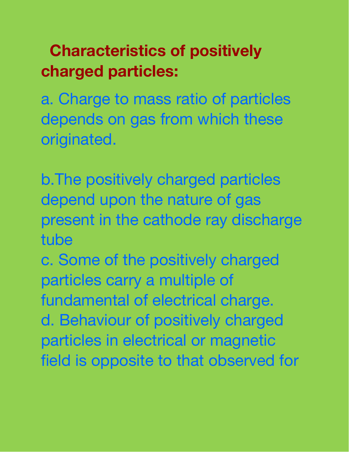# **Characteristics of positively charged particles:**

a. Charge to mass ratio of particles depends on gas from which these originated.

b.The positively charged particles depend upon the nature of gas present in the cathode ray discharge tube

c. Some of the positively charged particles carry a multiple of fundamental of electrical charge. d. Behaviour of positively charged particles in electrical or magnetic field is opposite to that observed for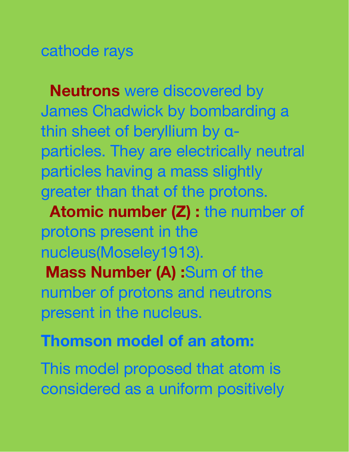cathode rays

**Neutrons** were discovered by James Chadwick by bombarding a thin sheet of beryllium by αparticles. They are electrically neutral particles having a mass slightly greater than that of the protons.

**Atomic number (Z) :** the number of protons present in the nucleus(Moseley1913).

**Mass Number (A) :**Sum of the number of protons and neutrons present in the nucleus.

**Thomson model of an atom:**

This model proposed that atom is considered as a uniform positively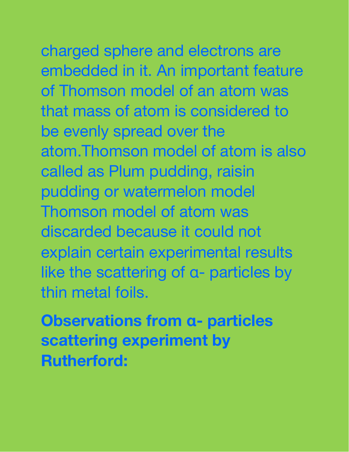charged sphere and electrons are embedded in it. An important feature of Thomson model of an atom was that mass of atom is considered to be evenly spread over the atom.Thomson model of atom is also called as Plum pudding, raisin pudding or watermelon model Thomson model of atom was discarded because it could not explain certain experimental results like the scattering of α- particles by thin metal foils.

**Observations from α- particles scattering experiment by Rutherford:**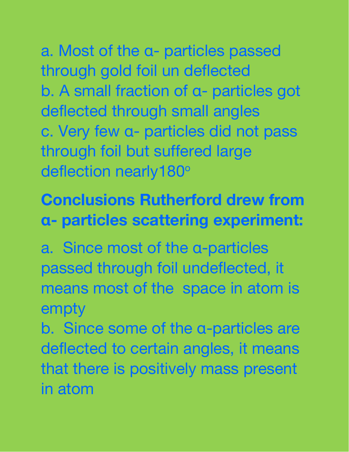a. Most of the α- particles passed through gold foil un deflected b. A small fraction of α- particles got deflected through small angles c. Very few α- particles did not pass through foil but suffered large deflection nearly180°

# **Conclusions Rutherford drew from α- particles scattering experiment:**

a. Since most of the α-particles passed through foil undeflected, it means most of the space in atom is empty

b. Since some of the α-particles are deflected to certain angles, it means that there is positively mass present in atom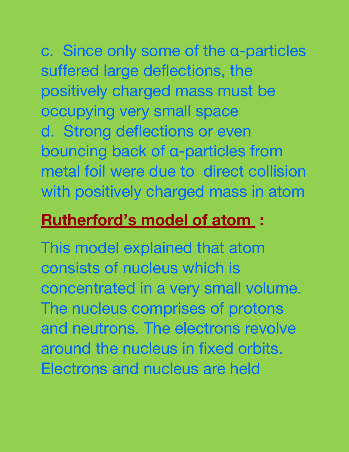c. Since only some of the α-particles suffered large deflections, the positively charged mass must be occupying very small space d. Strong deflections or even bouncing back of α-particles from

metal foil were due to direct collision with positively charged mass in atom

### **Rutherford's model of atom :**

This model explained that atom consists of nucleus which is concentrated in a very small volume. The nucleus comprises of protons and neutrons. The electrons revolve around the nucleus in fixed orbits. Electrons and nucleus are held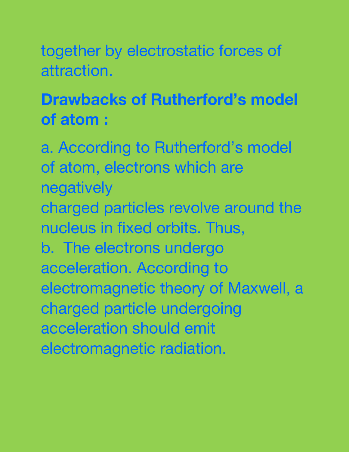together by electrostatic forces of attraction.

## **Drawbacks of Rutherford's model of atom :**

a. According to Rutherford's model of atom, electrons which are negatively charged particles revolve around the nucleus in fixed orbits. Thus, b. The electrons undergo acceleration. According to electromagnetic theory of Maxwell, a charged particle undergoing acceleration should emit electromagnetic radiation.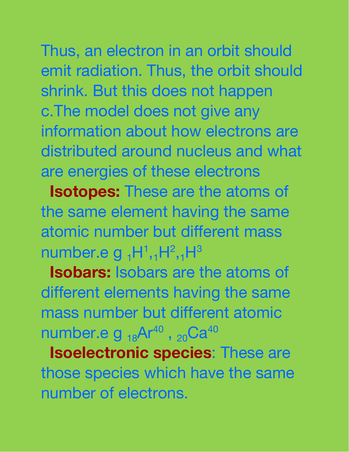Thus, an electron in an orbit should emit radiation. Thus, the orbit should shrink. But this does not happen c.The model does not give any information about how electrons are distributed around nucleus and what are energies of these electrons

**Isotopes:** These are the atoms of the same element having the same atomic number but different mass number.e g  ${}_{1}\mathsf{H}^{1}, {}_{1}\mathsf{H}^{2}, {}_{1}\mathsf{H}^{3}$ 

**Isobars:** Isobars are the atoms of different elements having the same mass number but different atomic number.e g  $_{18}$ Ar $^{40}$  ,  $_{20}$ Ca $^{40}$ 

**Isoelectronic species**: These are those species which have the same number of electrons.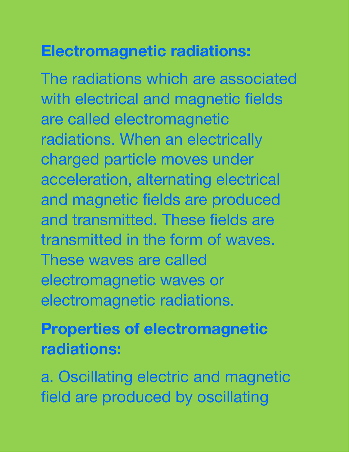# **Electromagnetic radiations:**

The radiations which are associated with electrical and magnetic fields are called electromagnetic radiations. When an electrically charged particle moves under acceleration, alternating electrical and magnetic fields are produced and transmitted. These fields are transmitted in the form of waves. These waves are called electromagnetic waves or electromagnetic radiations.

### **Properties of electromagnetic radiations:**

a. Oscillating electric and magnetic field are produced by oscillating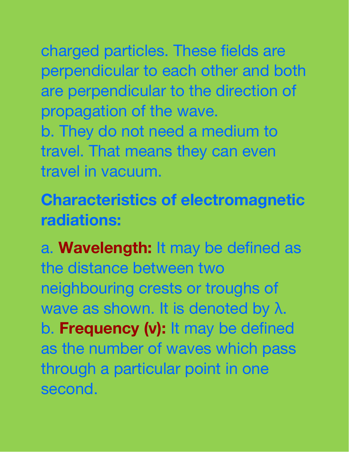charged particles. These fields are

perpendicular to each other and both are perpendicular to the direction of propagation of the wave. b. They do not need a medium to travel. That means they can even travel in vacuum.

**Characteristics of electromagnetic radiations:**

a. **Wavelength:** It may be defined as the distance between two neighbouring crests or troughs of wave as shown. It is denoted by λ. b. **Frequency (ν):** It may be defined as the number of waves which pass through a particular point in one second.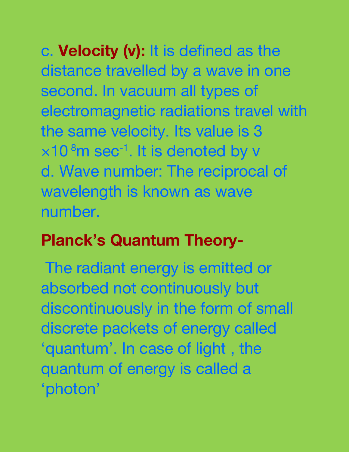c. **Velocity (v):** It is defined as the distance travelled by a wave in one second. In vacuum all types of electromagnetic radiations travel with the same velocity. Its value is 3  $\times$ 10 $^{8}$ m sec $^{-1}$ . It is denoted by v d. Wave number: The reciprocal of wavelength is known as wave number.

### **Planck's Quantum Theory-**

The radiant energy is emitted or absorbed not continuously but discontinuously in the form of small discrete packets of energy called 'quantum'. In case of light , the quantum of energy is called a 'photon'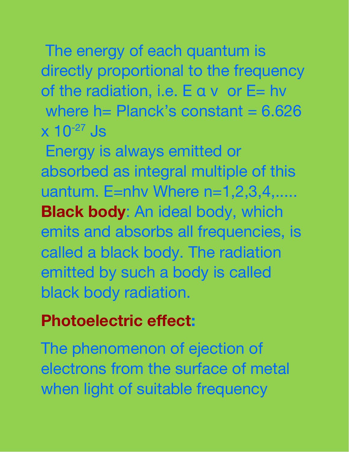The energy of each quantum is directly proportional to the frequency of the radiation, i.e. E α v or E= hv where  $h =$  Planck's constant = 6.626  $\times$  10<sup>-27</sup> Js

Energy is always emitted or absorbed as integral multiple of this uantum.  $E=nhv$  Where  $n=1,2,3,4,......$ **Black body**: An ideal body, which emits and absorbs all frequencies, is called a black body. The radiation emitted by such a body is called black body radiation.

# **Photoelectric effect:**

The phenomenon of ejection of electrons from the surface of metal when light of suitable frequency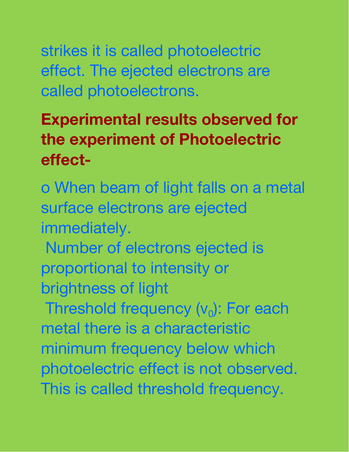strikes it is called photoelectric effect. The ejected electrons are called photoelectrons.

### **Experimental results observed for the experiment of Photoelectric effect-**

o When beam of light falls on a metal surface electrons are ejected immediately.

Number of electrons ejected is proportional to intensity or brightness of light

Threshold frequency ( $\mathsf{v}_0$ ): For each metal there is a characteristic minimum frequency below which photoelectric effect is not observed. This is called threshold frequency.